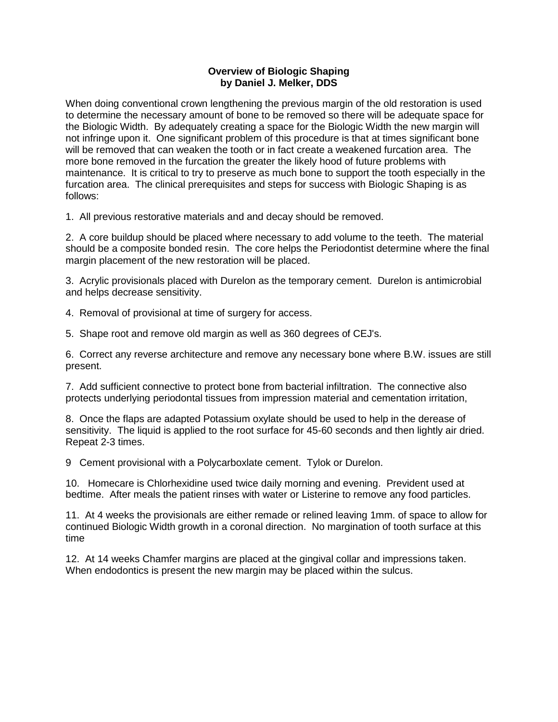## **Overview of Biologic Shaping by Daniel J. Melker, DDS**

When doing conventional crown lengthening the previous margin of the old restoration is used to determine the necessary amount of bone to be removed so there will be adequate space for the Biologic Width. By adequately creating a space for the Biologic Width the new margin will not infringe upon it. One significant problem of this procedure is that at times significant bone will be removed that can weaken the tooth or in fact create a weakened furcation area. The more bone removed in the furcation the greater the likely hood of future problems with maintenance. It is critical to try to preserve as much bone to support the tooth especially in the furcation area. The clinical prerequisites and steps for success with Biologic Shaping is as follows:

1. All previous restorative materials and and decay should be removed.

2. A core buildup should be placed where necessary to add volume to the teeth. The material should be a composite bonded resin. The core helps the Periodontist determine where the final margin placement of the new restoration will be placed.

3. Acrylic provisionals placed with Durelon as the temporary cement. Durelon is antimicrobial and helps decrease sensitivity.

4. Removal of provisional at time of surgery for access.

5. Shape root and remove old margin as well as 360 degrees of CEJ's.

6. Correct any reverse architecture and remove any necessary bone where B.W. issues are still present.

7. Add sufficient connective to protect bone from bacterial infiltration. The connective also protects underlying periodontal tissues from impression material and cementation irritation,

8. Once the flaps are adapted Potassium oxylate should be used to help in the derease of sensitivity. The liquid is applied to the root surface for 45-60 seconds and then lightly air dried. Repeat 2-3 times.

9 Cement provisional with a Polycarboxlate cement. Tylok or Durelon.

10. Homecare is Chlorhexidine used twice daily morning and evening. Prevident used at bedtime. After meals the patient rinses with water or Listerine to remove any food particles.

11. At 4 weeks the provisionals are either remade or relined leaving 1mm. of space to allow for continued Biologic Width growth in a coronal direction. No margination of tooth surface at this time

12. At 14 weeks Chamfer margins are placed at the gingival collar and impressions taken. When endodontics is present the new margin may be placed within the sulcus.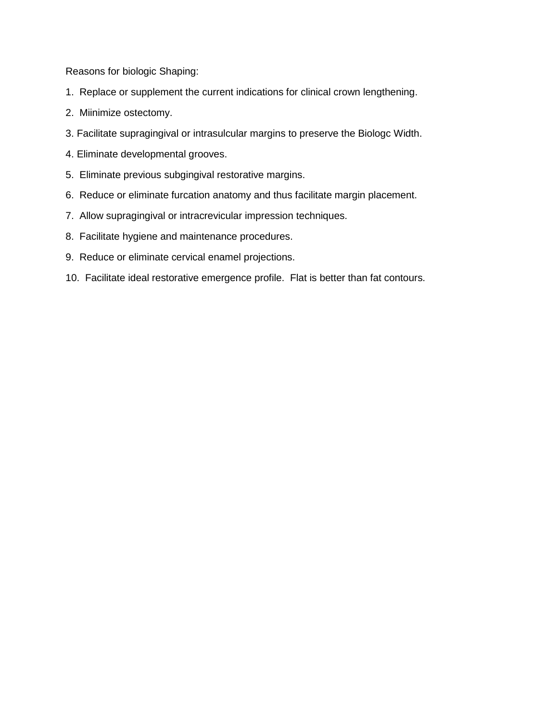Reasons for biologic Shaping:

- 1. Replace or supplement the current indications for clinical crown lengthening.
- 2. Miinimize ostectomy.
- 3. Facilitate supragingival or intrasulcular margins to preserve the Biologc Width.
- 4. Eliminate developmental grooves.
- 5. Eliminate previous subgingival restorative margins.
- 6. Reduce or eliminate furcation anatomy and thus facilitate margin placement.
- 7. Allow supragingival or intracrevicular impression techniques.
- 8. Facilitate hygiene and maintenance procedures.
- 9. Reduce or eliminate cervical enamel projections.
- 10. Facilitate ideal restorative emergence profile. Flat is better than fat contours.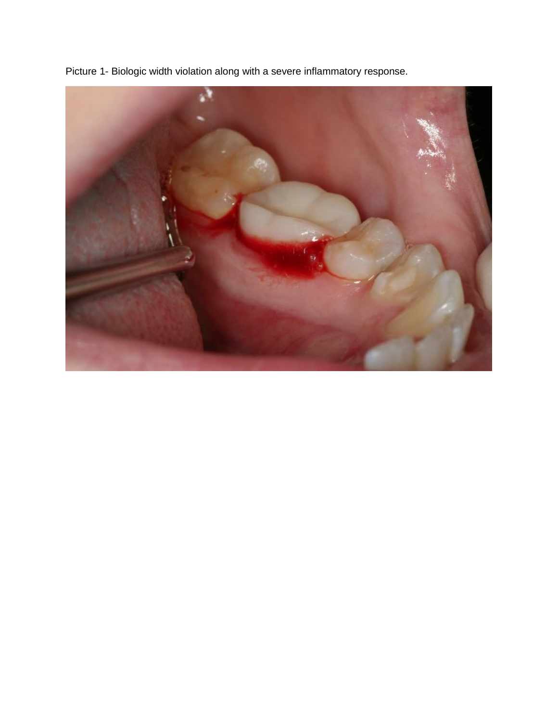

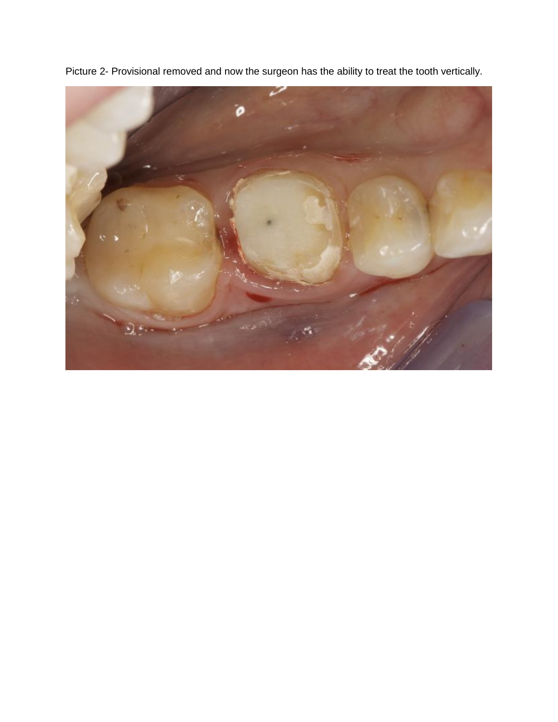

Picture 2- Provisional removed and now the surgeon has the ability to treat the tooth vertically.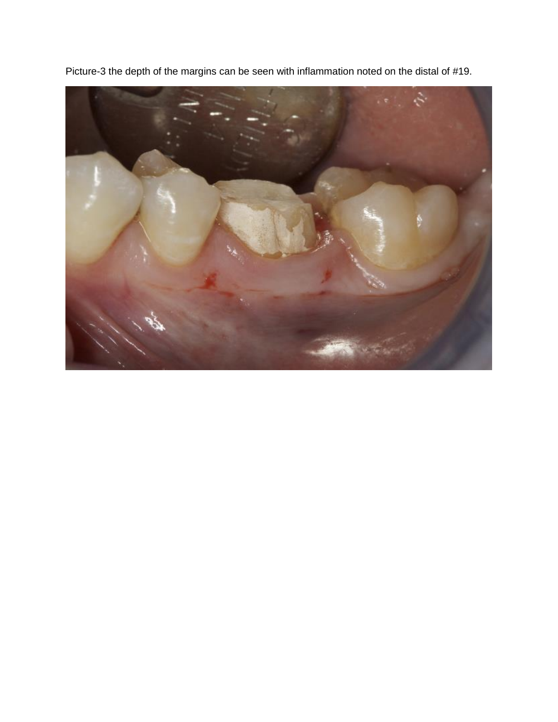

Picture-3 the depth of the margins can be seen with inflammation noted on the distal of #19.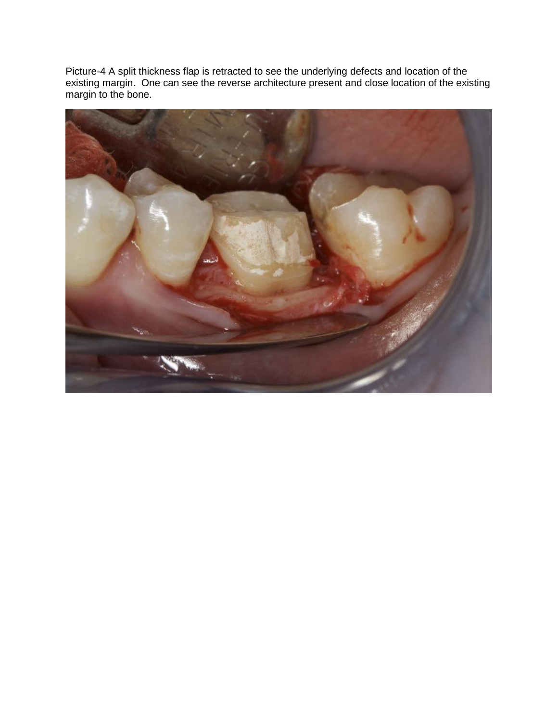Picture-4 A split thickness flap is retracted to see the underlying defects and location of the existing margin. One can see the reverse architecture present and close location of the existing margin to the bone.

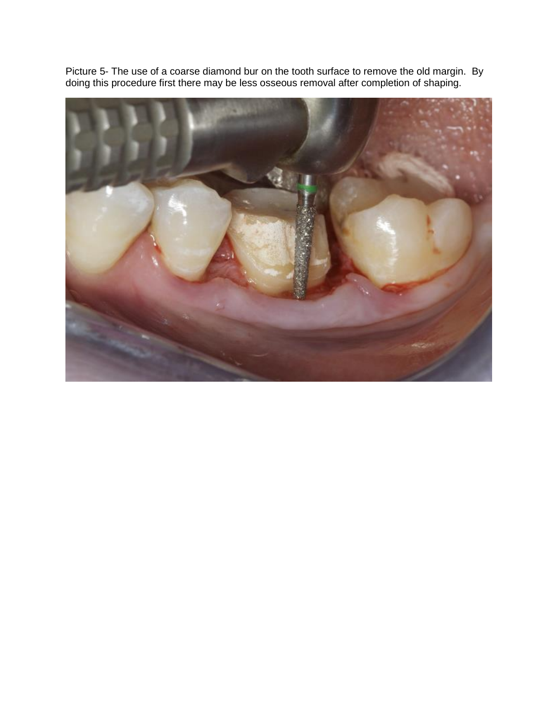Picture 5- The use of a coarse diamond bur on the tooth surface to remove the old margin. By doing this procedure first there may be less osseous removal after completion of shaping.

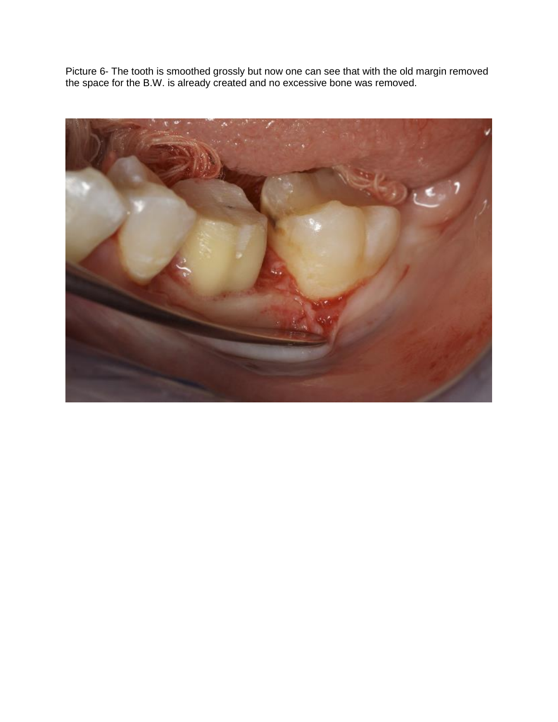Picture 6- The tooth is smoothed grossly but now one can see that with the old margin removed the space for the B.W. is already created and no excessive bone was removed.

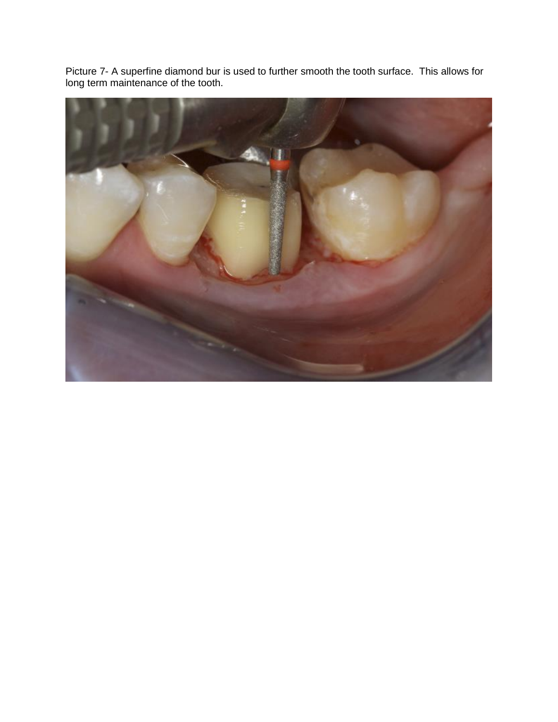

Picture 7- A superfine diamond bur is used to further smooth the tooth surface. This allows for long term maintenance of the tooth.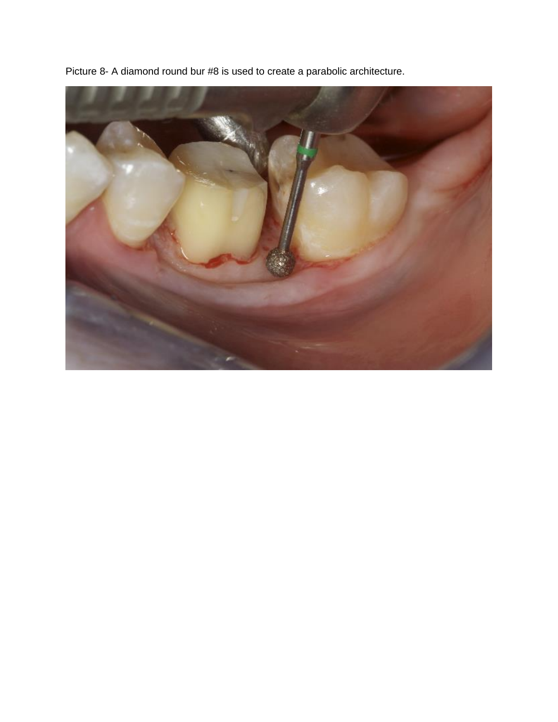Picture 8- A diamond round bur #8 is used to create a parabolic architecture.

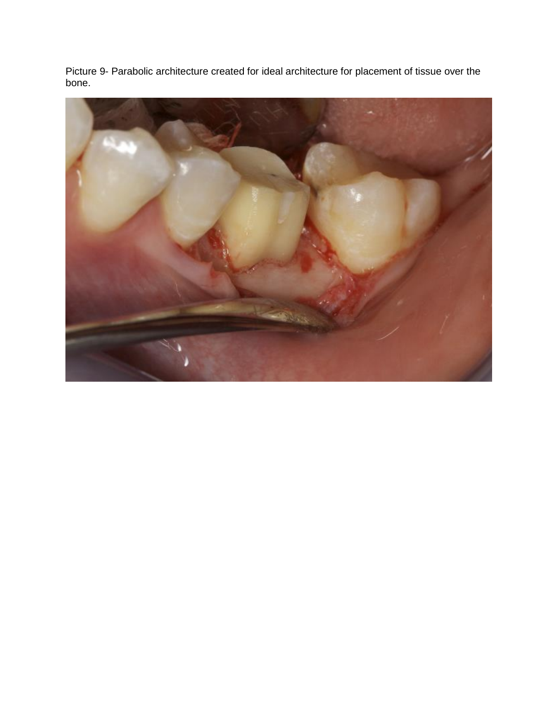Picture 9- Parabolic architecture created for ideal architecture for placement of tissue over the bone.

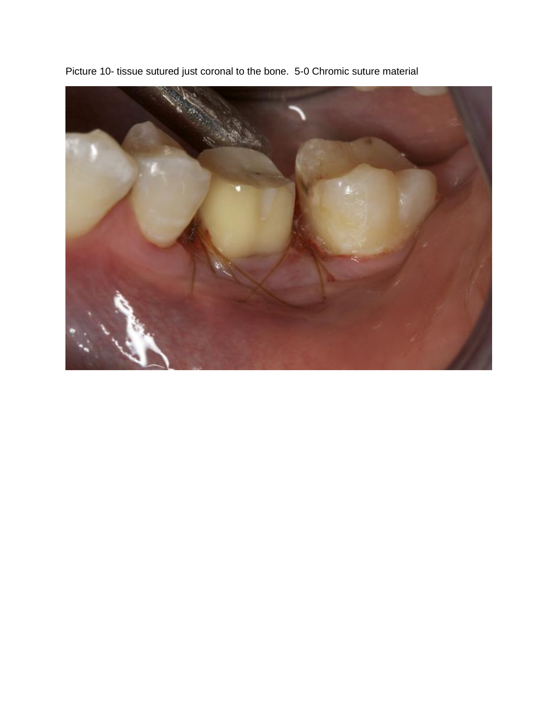

Picture 10- tissue sutured just coronal to the bone. 5-0 Chromic suture material